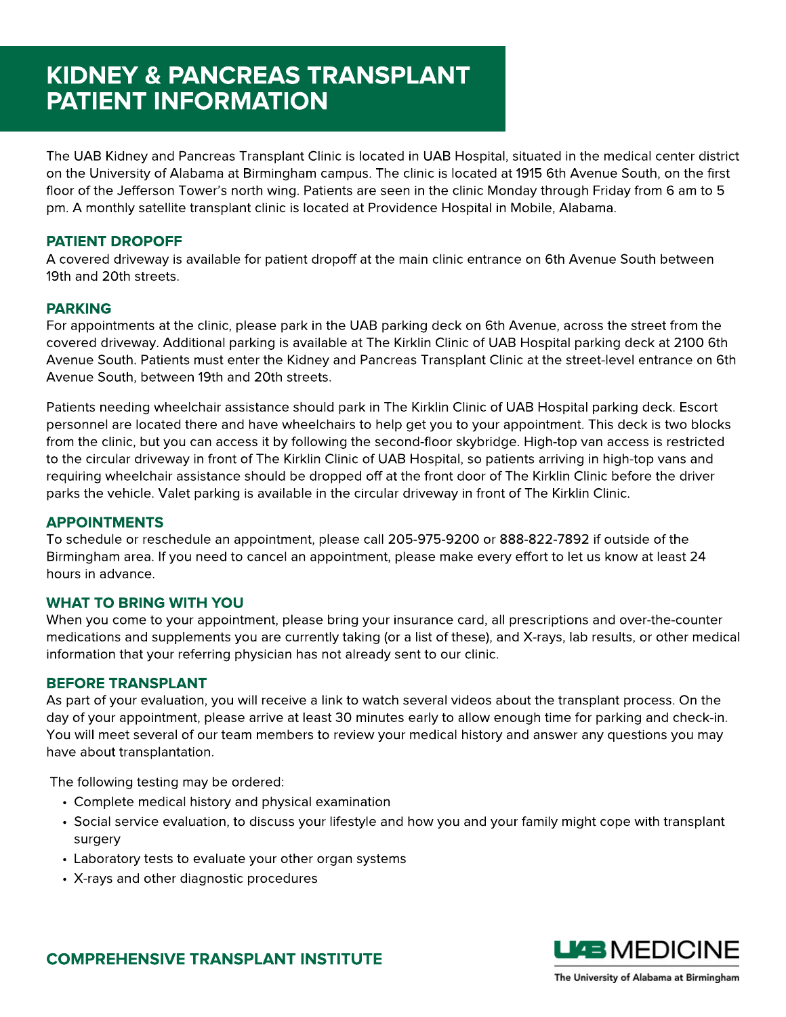# KIDNEY & PANCREAS TRANSPLANT PATIENT INFORMATION

The UAB Kidney and Pancreas Transplant Clinic is located in UAB Hospital, situated in the medical center district on the University of Alabama at Birmingham campus. The clinic is located at 1915 6th Avenue South, on the first floor of the Jefferson Tower's north wing. Patients are seen in the clinic Monday through Friday from 6 am to 5 pm. A monthly satellite transplant clinic is located at Providence Hospital in Mobile, Alabama.

# PATIENT DROPOFF

A covered driveway is available for patient dropoff at the main clinic entrance on 6th Avenue South between 19th and 20th streets.

## PARKING

For appointments at the clinic, please park in the UAB parking deck on 6th Avenue, across the street from the covered driveway. Additional parking is available at The Kirklin Clinic of UAB Hospital parking deck at 2100 6th Avenue South. Patients must enter the Kidney and Pancreas Transplant Clinic at the street-level entrance on 6th Avenue South, between 19th and 20th streets.

Patients needing wheelchair assistance should park in The Kirklin Clinic of UAB Hospital parking deck. Escort personnel are located there and have wheelchairs to help get you to your appointment. This deck is two blocks from the clinic, but you can access it by following the second-floor skybridge. High-top van access is restricted to the circular driveway in front of The Kirklin Clinic of UAB Hospital, so patients arriving in high-top vans and requiring wheelchair assistance should be dropped off at the front door of The Kirklin Clinic before the driver parks the vehicle. Valet parking is available in the circular driveway in front of The Kirklin Clinic.

## APPOINTMENTS

To schedule or reschedule an appointment, please call 205-975-9200 or 888-822-7892 if outside of the Birmingham area. If you need to cancel an appointment, please make every effort to let us know at least 24 hours in advance.

### WHAT TO BRING WITH YOU

When you come to your appointment, please bring your insurance card, all prescriptions and over-the-counter medications and supplements you are currently taking (or a list of these), and X-rays, lab results, or other medical information that your referring physician has not already sent to our clinic.

### BEFORE TRANSPLANT

As part of your evaluation, you will receive a link to watch several videos about the transplant process. On the day of your appointment, please arrive at least 30 minutes early to allow enough time for parking and check-in. You will meet several of our team members to review your medical history and answer any questions you may have about transplantation.

The following testing may be ordered:

- Complete medical history and physical examination
- Social service evaluation, to discuss your lifestyle and how you and your family might cope with transplant surgery
- Laboratory tests to evaluate your other organ systems
- X-rays and other diagnostic procedures



COMPREHENSIVE TRANSPLANT INSTITUTE